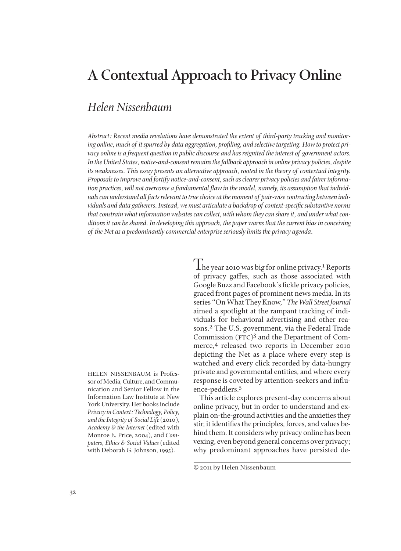## **A Contextual Approach to Privacy Online**

## *Helen Nissenbaum*

*Abstract: Recent media revelations have demonstrated the extent of third-party tracking and monitor*ing online, much of it spurred by data aggregation, profiling, and selective targeting. How to protect pri*vacy online is a frequent question in public discourse and has reignited the interest of government actors. In the United States, notice-and-consent remains the fallback approach in online privacy policies, despite its weaknesses. This essay presents an alternative approach, rooted in the theory of contextual integrity. Proposals to improve and fortify notice-and-consent, such as clearer privacy policies and fairer information practices, will not overcome a fundamental flaw in the model, namely, its assumption that individuals can understand all facts relevant to true choice at the moment of pair-wise contracting between individuals and data gatherers. Instead, we must articulate a backdrop of context-specific substantive norms that constrain what information websites can collect, with whom they can share it, and under what conditions it can be shared. In developing this approach, the paper warns that the current bias in conceiving of the Net as a predominantly commercial enterprise seriously limits the privacy agenda.*

HELEN NISSENBAUM is Professor of Media, Culture, and Communication and Senior Fellow in the Information Law Institute at New York University. Her books include *Privacy in Context: Technology, Policy, and the Integrity of Social Life*(2010), *Academy & the Internet* (edited with Monroe E. Price, 2004), and *Computers, Ethics & Social Values* (edited with Deborah G. Johnson, 1995).

 $T$ he year 2010 was big for online privacy.<sup>1</sup> Reports of privacy gaffes, such as those associated with Google Buzz and Facebook's fickle privacy policies, graced front pages of prominent news media. In its series "On What They Know," *The Wall Street Journal* aimed a spotlight at the rampant tracking of individuals for behavioral advertising and other reasons.2 The U.S. government, via the Federal Trade Commission ( $FTC$ )<sup>3</sup> and the Department of Commerce,4 released two reports in December 2010 depicting the Net as a place where every step is watched and every click recorded by data-hungry private and governmental entities, and where every response is coveted by attention-seekers and influence-peddlers.5

This article explores present-day concerns about online privacy, but in order to understand and explain on-the-ground activities and the anxieties they stir, it identifies the principles, forces, and values behind them. It considers why privacy online has been vexing, even beyond general concerns over privacy; why predominant approaches have persisted de-

<sup>© 2011</sup> by Helen Nissenbaum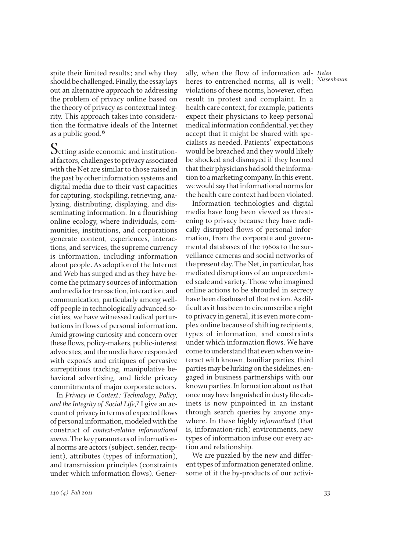spite their limited results; and why they should be challenged. Finally, the essay lays out an alternative approach to addressing the problem of privacy online based on the theory of privacy as contextual integrity. This approach takes into consideration the formative ideals of the Internet as a public good.<sup>6</sup>

 $S_\mathrm{etting}$  aside economic and institutional factors, challenges to privacy associated with the Net are similar to those raised in the past by other information systems and digital media due to their vast capacities for capturing, stockpiling, retrieving, analyzing, distributing, displaying, and disseminating information. In a flourishing online ecology, where individuals, communities, institutions, and corporations generate content, experiences, interactions, and services, the supreme currency is information, including information about people. As adoption of the Internet and Web has surged and as they have become the primary sources of information and media for transaction, interaction, and communication, particularly among welloff people in technologically advanced societies, we have witnessed radical perturbations in flows of personal information. Amid growing curiosity and concern over these flows, policy-makers, public-interest advocates, and the media have responded with exposés and critiques of pervasive surreptitious tracking, manipulative behavioral advertising, and fickle privacy commitments of major corporate actors.

In *Privacy in Context: Technology, Policy, and the Integrity of Social Life*, 7 I give an account of privacy in terms of expected flows of personal information, modeled with the construct of *context-relative informational norms*. The key parameters of informational norms are actors (subject, sender, recipient), attributes (types of information), and transmission principles (constraints under which information flows). Gener-

ally, when the flow of information ad- Helen *Nissenbaum* heres to entrenched norms, all is well; violations of these norms, however, often result in protest and complaint. In a health care context, for example, patients expect their physicians to keep personal medical information confidential, yet they accept that it might be shared with specialists as needed. Patients' expectations would be breached and they would likely be shocked and dismayed if they learned that their physicians had sold the information to a marketing company. In this event, we would say that informational norms for the health care context had been violated.

Information technologies and digital media have long been viewed as threatening to privacy because they have radically disrupted flows of personal information, from the corporate and governmental databases of the 1960s to the surveillance cameras and social networks of the present day. The Net, in particular, has mediated disruptions of an unprecedented scale and variety. Those who imagined online actions to be shrouded in secrecy have been disabused of that notion. As dif ficult as it has been to circumscribe a right to privacy in general, it is even more complex online because of shifting recipients, types of information, and constraints under which information flows. We have come to understand that even when we interact with known, familiar parties, third parties may be lurking on the sidelines, engaged in business partnerships with our known parties. Information about us that once may have languished in dusty file cabinets is now pinpointed in an instant through search queries by anyone anywhere. In these highly *informatized* (that is, information-rich) environments, new types of information infuse our every action and relationship.

We are puzzled by the new and different types of information generated online, some of it the by-products of our activi-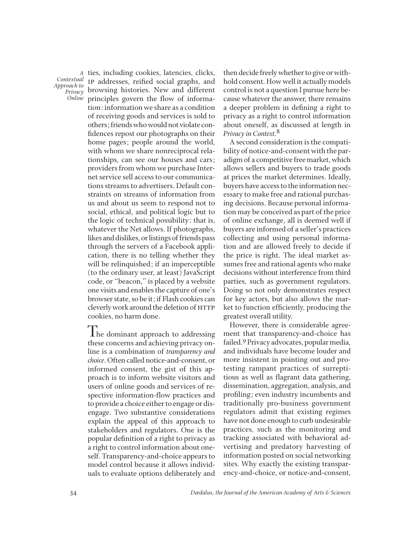*Approach to*

*A* ties, including cookies, latencies, clicks, *Contextual* IP addresses, reified social graphs, and *Privacy* browsing histories. New and different *Online*  principles govern the flow of information: information we share as a condition of receiving goods and services is sold to others; friends who would not violate con fidences repost our photographs on their home pages; people around the world, with whom we share nonreciprocal relationships, can see our houses and cars; providers from whom we purchase Internet service sell access to our communications streams to advertisers. Default constraints on streams of information from us and about us seem to respond not to social, ethical, and political logic but to the logic of technical possibility: that is, whatever the Net allows. If photographs, likes and dislikes, or listings of friends pass through the servers of a Facebook application, there is no telling whether they will be relinquished; if an imperceptible (to the ordinary user, at least) JavaScript code, or "beacon," is placed by a website one visits and enables the capture of one's browser state, so be it; if Flash cookies can cleverly work around the deletion of HTTP cookies, no harm done.

> The dominant approach to addressing these concerns and achieving privacy online is a combination of *transparency and choice*. Often called notice-and-consent, or informed consent, the gist of this approach is to inform website visitors and users of online goods and services of respective information-flow practices and to provide a choice either to engage or disengage. Two substantive considerations explain the appeal of this approach to stakeholders and regulators. One is the popular definition of a right to privacy as a right to control information about oneself. Transparency-and-choice appears to model control because it allows individuals to evaluate options deliberately and

then decide freely whether to give or withhold consent. How well it actually models control is not a question I pursue here because whatever the answer, there remains a deeper problem in defining a right to privacy as a right to control information about oneself, as discussed at length in *Privacy in Context*. 8

A second consideration is the compatibility of notice-and-consent with the paradigm of a competitive free market, which allows sellers and buyers to trade goods at prices the market determines. Ideally, buyers have access to the information necessary to make free and rational purchasing decisions. Because personal information may be conceived as part of the price of online exchange, all is deemed well if buyers are informed of a seller's practices collecting and using personal information and are allowed freely to decide if the price is right. The ideal market assumes free and rational agents who make decisions without interference from third parties, such as government regulators. Doing so not only demonstrates respect for key actors, but also allows the market to function efficiently, producing the greatest overall utility.

However, there is considerable agreement that transparency-and-choice has failed.9 Privacy advocates, popular media, and individuals have become louder and more insistent in pointing out and protesting rampant practices of surreptitious as well as flagrant data gathering, dissemination, aggregation, analysis, and profiling; even industry incumbents and traditionally pro-business government regulators admit that existing regimes have not done enough to curb undesirable practices, such as the monitoring and tracking associated with behavioral advertising and predatory harvesting of information posted on social networking sites. Why exactly the existing transparency-and-choice, or notice-and-consent,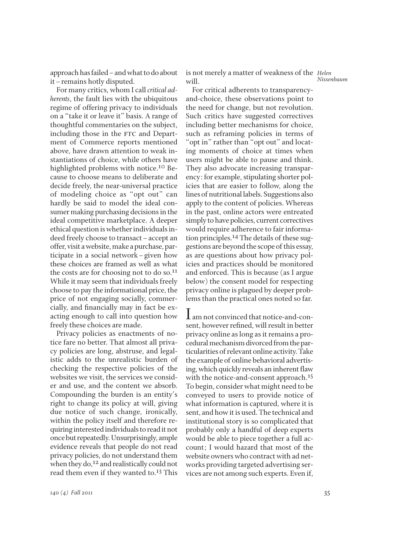approach has failed–and what to do about it–remains hotly disputed.

For many critics, whom I call *critical adherents*, the fault lies with the ubiquitous regime of offering privacy to individuals on a "take it or leave it" basis. A range of thoughtful commentaries on the subject, including those in the FTC and Department of Commerce reports mentioned above, have drawn attention to weak instantiations of choice, while others have highlighted problems with notice.10 Because to choose means to deliberate and decide freely, the near-universal practice of modeling choice as "opt out" can hardly be said to model the ideal consumer making purchasing decisions in the ideal competitive marketplace. A deeper ethical question is whether individuals indeed freely choose to transact–accept an offer, visit a website, make a purchase, participate in a social network–given how these choices are framed as well as what the costs are for choosing not to do so.<sup>11</sup> While it may seem that individuals freely choose to pay the informational price, the price of not engaging socially, commercially, and financially may in fact be exacting enough to call into question how freely these choices are made.

Privacy policies as enactments of notice fare no better. That almost all privacy policies are long, abstruse, and legalistic adds to the unrealistic burden of checking the respective policies of the websites we visit, the services we consider and use, and the content we absorb. Compounding the burden is an entity's right to change its policy at will, giving due notice of such change, ironically, within the policy itself and therefore requiring interested individuals to read it not once but repeatedly. Unsurprisingly, ample evidence reveals that people do not read privacy policies, do not understand them when they do, $12$  and realistically could not read them even if they wanted to.<sup>13</sup> This

*140 (4) Fall 2011*

is not merely a matter of weakness of the Helen *Nissenbaum* will.

For critical adherents to transparencyand-choice, these observations point to the need for change, but not revolution. Such critics have suggested correctives including better mechanisms for choice, such as reframing policies in terms of "opt in" rather than "opt out" and locating moments of choice at times when users might be able to pause and think. They also advocate increasing transparency: for example, stipulating shorter policies that are easier to follow, along the lines of nutritional labels. Suggestions also apply to the content of policies. Whereas in the past, online actors were entreated simply to have policies, current correctives would require adherence to fair information principles.14 The details of these suggestions are beyond the scope of this essay, as are questions about how privacy policies and practices should be monitored and enforced. This is because (as I argue below) the consent model for respecting privacy online is plagued by deeper problems than the practical ones noted so far.

I am not convinced that notice-and-consent, however refined, will result in better privacy online as long as it remains a procedural mechanism divorced from the particularities of relevant online activity. Take the example of online behavioral advertising, which quickly reveals an inherent flaw with the notice-and-consent approach.<sup>15</sup> To begin, consider what might need to be conveyed to users to provide notice of what information is captured, where it is sent, and how it is used. The technical and institutional story is so complicated that probably only a handful of deep experts would be able to piece together a full account; I would hazard that most of the website owners who contract with ad networks providing targeted advertising services are not among such experts. Even if,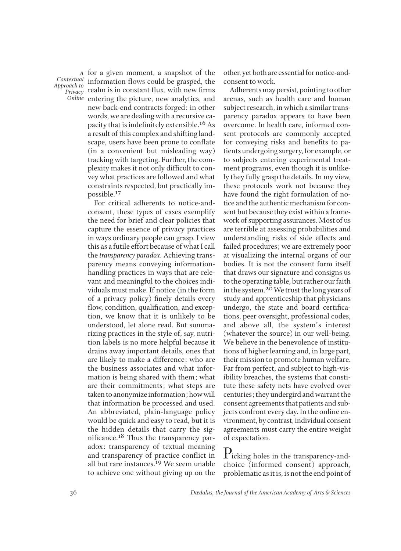*Contextual Approach to*

*A* for a given moment, a snapshot of the *Privacy* realm is in constant flux, with new firms *Online* entering the picture, new analytics, and information flows could be grasped, the new back-end contracts forged: in other words, we are dealing with a recursive capacity that is indefinitely extensible.<sup>16</sup> As a result of this complex and shifting landscape, users have been prone to conflate (in a convenient but misleading way) tracking with targeting. Further, the complexity makes it not only difficult to convey what practices are followed and what constraints respected, but practically impossible.17

> For critical adherents to notice-andconsent, these types of cases exemplify the need for brief and clear policies that capture the essence of privacy practices in ways ordinary people can grasp. I view this as a futile effort because of what I call the *transparency paradox*. Achieving transparency means conveying informationhandling practices in ways that are relevant and meaningful to the choices individuals must make. If notice (in the form of a privacy policy) finely details every flow, condition, qualification, and exception, we know that it is unlikely to be understood, let alone read. But summarizing practices in the style of, say, nutrition labels is no more helpful because it drains away important details, ones that are likely to make a difference: who are the business associates and what information is being shared with them; what are their commitments; what steps are taken to anonymize information; how will that information be processed and used. An abbreviated, plain-language policy would be quick and easy to read, but it is the hidden details that carry the significance.<sup>18</sup> Thus the transparency paradox: transparency of textual meaning and transparency of practice conflict in all but rare instances.19 We seem unable to achieve one without giving up on the

other, yet both are essential for notice-andconsent to work.

Adherents may persist, pointing to other arenas, such as health care and human subject research, in which a similar transparency paradox appears to have been overcome. In health care, informed consent protocols are commonly accepted for conveying risks and benefits to patients undergoing surgery, for example, or to subjects entering experimental treatment programs, even though it is unlikely they fully grasp the details. In my view, these protocols work not because they have found the right formulation of notice and the authentic mechanism for consent but because they exist within a framework of supporting assurances. Most of us are terrible at assessing probabilities and understanding risks of side effects and failed procedures; we are extremely poor at visualizing the internal organs of our bodies. It is not the consent form itself that draws our signature and consigns us to the operating table, but rather our faith in the system.20We trust the long years of study and apprenticeship that physicians undergo, the state and board certifications, peer oversight, professional codes, and above all, the system's interest (whatever the source) in our well-being. We believe in the benevolence of institutions of higher learning and, in large part, their mission to promote human welfare. Far from perfect, and subject to high-visibility breaches, the systems that constitute these safety nets have evolved over centuries; they undergird and warrant the consent agreements that patients and subjects confront every day. In the online environment, by contrast, individual consent agreements must carry the entire weight of expectation.

Picking holes in the transparency-andchoice (informed consent) approach, problematic as it is, is not the end point of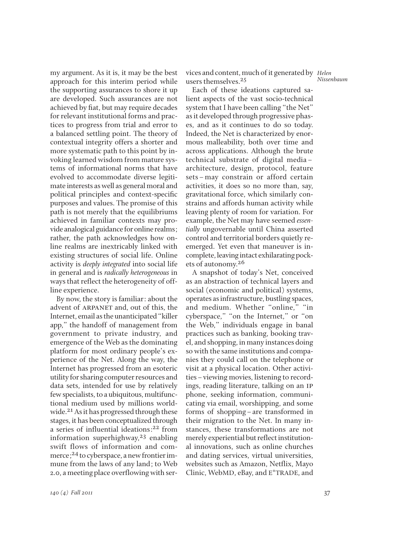my argument. As it is, it may be the best approach for this interim period while the supporting assurances to shore it up are developed. Such assurances are not achieved by fiat, but may require decades for relevant institutional forms and practices to progress from trial and error to a balanced settling point. The theory of contextual integrity offers a shorter and more systematic path to this point by invoking learned wisdom from mature systems of informational norms that have evolved to accommodate diverse legitimate interests as well as general moral and political principles and context-specific purposes and values. The promise of this path is not merely that the equilibriums achieved in familiar contexts may provide analogical guidance for online realms; rather, the path acknowledges how online realms are inextricably linked with existing structures of social life. Online activity is *deeply integrated* into social life in general and is *radically heterogeneous* in ways that reflect the heterogeneity of offline experience.

By now, the story is familiar: about the advent of ARPANET and, out of this, the Internet, email as the unanticipated "killer app," the handoff of management from government to private industry, and emergence of the Web as the dominating platform for most ordinary people's experience of the Net. Along the way, the Internet has progressed from an esoteric utility for sharing computer resources and data sets, intended for use by relatively few specialists, to a ubiquitous, multifunctional medium used by millions worldwide.<sup>21</sup> As it has progressed through these stages, it has been conceptualized through a series of influential ideations:22 from information superhighway, $23$  enabling swift flows of information and commerce;24 to cyberspace, a new frontier immune from the laws of any land; to Web 2.0, a meeting place overflowing with ser-

vices and content, much of it generated by *Helen* users themselves.25

Each of these ideations captured salient aspects of the vast socio-technical system that I have been calling "the Net" as it developed through progressive phases, and as it continues to do so today. Indeed, the Net is characterized by enormous malleability, both over time and across applications. Although the brute technical substrate of digital media– architecture, design, protocol, feature sets–may constrain or afford certain activities, it does so no more than, say, gravitational force, which similarly constrains and affords human activity while leaving plenty of room for variation. For example, the Net may have seemed *essentially* ungovernable until China asserted control and territorial borders quietly reemerged. Yet even that maneuver is incomplete, leaving intact exhilarating pockets of autonomy.26

A snapshot of today's Net, conceived as an abstraction of technical layers and social (economic and political) systems, operates as infrastructure, bustling spaces, and medium. Whether "online," "in cyberspace," "on the Internet," or "on the Web," individuals engage in banal practices such as banking, booking travel, and shopping, in many instances doing so with the same institutions and companies they could call on the telephone or visit at a physical location. Other activities–viewing movies, listening to recordings, reading literature, talking on an ip phone, seeking information, communicating via email, worshipping, and some forms of shopping–are transformed in their migration to the Net. In many instances, these transformations are not merely experiential but reflect institutional innovations, such as online churches and dating services, virtual universities, websites such as Amazon, Netflix, Mayo Clinic, WebMD, eBay, and E\*TRADE, and

*Nissenbaum*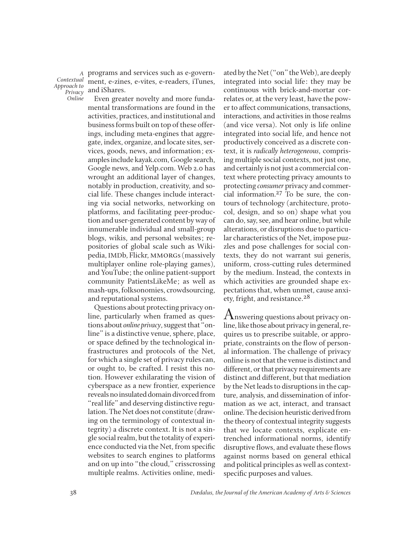*A Contextual Approach to Online*

*Privacy* and iShares. programs and services such as e-government, e-zines, e-vites, e-readers, iTunes,

Even greater novelty and more fundamental transformations are found in the activities, practices, and institutional and business forms built on top of these offerings, including meta-engines that aggregate, index, organize, and locate sites, services, goods, news, and information; examples include kayak.com, Google search, Google news, and Yelp.com. Web 2.0 has wrought an additional layer of changes, notably in production, creativity, and social life. These changes include interacting via social networks, networking on platforms, and facilitating peer-production and user-generated content by way of innumerable individual and small-group blogs, wikis, and personal websites; repositories of global scale such as Wikipedia, IMDb, Flickr, mmorgs (massively multiplayer online role-playing games), and YouTube; the online patient-support community PatientsLikeMe; as well as mash-ups, folksonomies, crowdsourcing, and reputational systems.

Questions about protecting privacy online, particularly when framed as questions about *online privacy*, suggest that "online" is a distinctive venue, sphere, place, or space defined by the technological infrastructures and protocols of the Net, for which a single set of privacy rules can, or ought to, be crafted. I resist this notion. However exhilarating the vision of cyberspace as a new frontier, experience reveals no insulated domain divorced from "real life" and deserving distinctive regulation. The Net does not constitute (drawing on the terminology of contextual integrity) a discrete context. It is not a single social realm, but the totality of experience conducted via the Net, from specific websites to search engines to platforms and on up into "the cloud," crisscrossing multiple realms. Activities online, mediated by the Net ("on" the Web), are deeply integrated into social life: they may be continuous with brick-and-mortar correlates or, at the very least, have the power to affect communications, transactions, interactions, and activities in those realms (and vice versa). Not only is life online integrated into social life, and hence not productively conceived as a discrete context, it is *radically heterogeneous*, comprising multiple social contexts, not just one, and certainly is not just a commercial context where protecting privacy amounts to protecting *consumer* privacy and commercial information.27 To be sure, the contours of technology (architecture, protocol, design, and so on) shape what you can do, say, see, and hear online, but while alterations, or disruptions due to particular characteristics of the Net, impose puzzles and pose challenges for social contexts, they do not warrant sui generis, uniform, cross-cutting rules determined by the medium. Instead, the contexts in which activities are grounded shape expectations that, when unmet, cause anxiety, fright, and resistance.28

 $A$ nswering questions about privacy online, like those about privacy in general, requires us to prescribe suitable, or appropriate, constraints on the flow of personal information. The challenge of privacy online is not that the venue is distinct and different, or that privacy requirements are distinct and different, but that mediation by the Net leads to disruptions in the capture, analysis, and dissemination of information as we act, interact, and transact online. The decision heuristic derived from the theory of contextual integrity suggests that we locate contexts, explicate entrenched informational norms, identify disruptive flows, and evaluate these flows against norms based on general ethical and political principles as well as contextspecific purposes and values.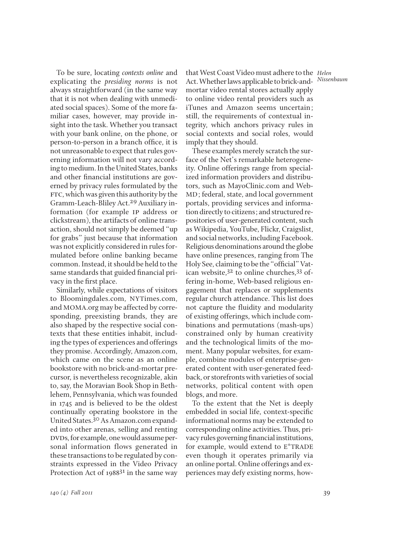To be sure, locating *contexts online* and explicating the *presiding norms* is not always straightforward (in the same way that it is not when dealing with unmediated social spaces). Some of the more familiar cases, however, may provide insight into the task. Whether you transact with your bank online, on the phone, or person-to-person in a branch office, it is not unreasonable to expect that rules governing information will not vary according to medium. In the United States, banks and other financial institutions are governed by privacy rules formulated by the FTC, which was given this authority by the Gramm-Leach-Bliley Act.29 Auxiliary information (for example ip address or clickstream), the artifacts of online transaction, should not simply be deemed "up for grabs" just because that information was not explicitly considered in rules formulated before online banking became common. Instead, it should be held to the same standards that guided financial privacy in the first place.

Similarly, while expectations of visitors to Bloomingdales.com, NYTimes.com, and MOMA.org may be affected by corresponding, preexisting brands, they are also shaped by the respective social contexts that these entities inhabit, including the types of experiences and offerings they promise. Accordingly, Amazon.com, which came on the scene as an online bookstore with no brick-and-mortar precursor, is nevertheless recognizable, akin to, say, the Moravian Book Shop in Bethlehem, Pennsylvania, which was founded in 1745 and is believed to be the oldest continually operating bookstore in the United States.<sup>30</sup> As Amazon.com expanded into other arenas, selling and renting DVDs, for example, one would assume personal information flows generated in these transactions to be regulated by constraints expressed in the Video Privacy Protection Act of 1988<sup>31</sup> in the same way

that West Coast Video must adhere to the Helen *Nissenbaum* Act. Whether laws applicable to brick-andmortar video rental stores actually apply to online video rental providers such as iTunes and Amazon seems uncertain; still, the requirements of contextual integrity, which anchors privacy rules in social contexts and social roles, would imply that they should.

These examples merely scratch the surface of the Net's remarkable heterogeneity. Online offerings range from specialized information providers and distributors, such as MayoClinic.com and Web-MD; federal, state, and local government portals, providing services and information directly to citizens; and structured repositories of user-generated content, such as Wikipedia, YouTube, Flickr, Craigslist, and social networks, including Facebook. Religious denominations around the globe have online presences, ranging from The Holy See, claiming to be the "official" Vatican website,32 to online churches,33 offering in-home, Web-based religious engagement that replaces or supplements regular church attendance. This list does not capture the fluidity and modularity of existing offerings, which include combinations and permutations (mash-ups) constrained only by human creativity and the technological limits of the moment. Many popular websites, for example, combine modules of enterprise-generated content with user-generated feedback, or storefronts with varieties of social networks, political content with open blogs, and more.

To the extent that the Net is deeply embedded in social life, context-specific informational norms may be extended to corresponding online activities. Thus, privacy rules governing financial institutions, for example, would extend to E\*TRADE even though it operates primarily via an online portal. Online offerings and experiences may defy existing norms, how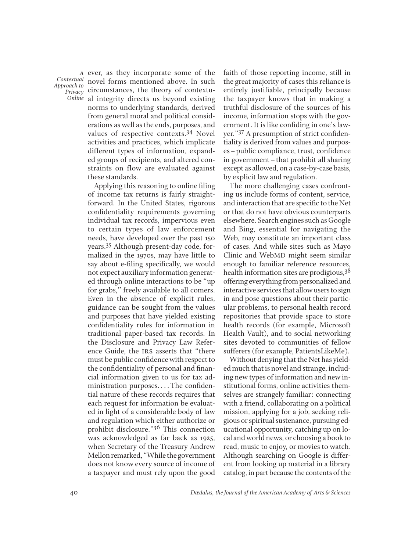*Approach to*

*A* ever, as they incorporate some of the *Contextual* novel forms mentioned above. In such *Privacy* circumstances, the theory of contextu-*Online* al integrity directs us beyond existing norms to underlying standards, derived from general moral and political considerations as well as the ends, purposes, and values of respective contexts.34 Novel activities and practices, which implicate different types of information, expanded groups of recipients, and altered constraints on flow are evaluated against these standards.

> Applying this reasoning to online filing of income tax returns is fairly straightforward. In the United States, rigorous confidentiality requirements governing individual tax records, impervious even to certain types of law enforcement needs, have developed over the past 150 years.35 Although present-day code, formalized in the 1970s, may have little to say about e-filing specifically, we would not expect auxiliary information generated through online interactions to be "up for grabs," freely available to all comers. Even in the absence of explicit rules, guidance can be sought from the values and purposes that have yielded existing confidentiality rules for information in traditional paper-based tax records. In the Disclosure and Privacy Law Reference Guide, the irs asserts that "there must be public confidence with respect to the confidentiality of personal and financial information given to us for tax administration purposes....The confidential nature of these records requires that each request for information be evaluated in light of a considerable body of law and regulation which either authorize or prohibit disclosure."36 This connection was acknowledged as far back as 1925, when Secretary of the Treasury Andrew Mellon remarked, "While the government does not know every source of income of a taxpayer and must rely upon the good

faith of those reporting income, still in the great majority of cases this reliance is entirely justifiable, principally because the taxpayer knows that in making a truthful disclosure of the sources of his income, information stops with the government. It is like confiding in one's lawyer."37 A presumption of strict confidentiality is derived from values and purposes – public compliance, trust, confidence in government – that prohibit all sharing except as allowed, on a case-by-case basis, by explicit law and regulation.

The more challenging cases confronting us include forms of content, service, and interaction that are specific to the Net or that do not have obvious counterparts elsewhere. Search engines such as Google and Bing, essential for navigating the Web, may constitute an important class of cases. And while sites such as Mayo Clinic and WebMD might seem similar enough to familiar reference resources, health information sites are prodigious, 38 offering everything from personalized and interactive services that allow users to sign in and pose questions about their particular problems, to personal health record repositories that provide space to store health records (for example, Microsoft Health Vault), and to social networking sites devoted to communities of fellow sufferers (for example, PatientsLikeMe).

Without denying that the Net has yielded much that is novel and strange, including new types of information and new institutional forms, online activities themselves are strangely familiar: connecting with a friend, collaborating on a political mission, applying for a job, seeking religious or spiritual sustenance, pursuing educational opportunity, catching up on local and world news, or choosing a book to read, music to enjoy, or movies to watch. Although searching on Google is different from looking up material in a library catalog, in part because the contents of the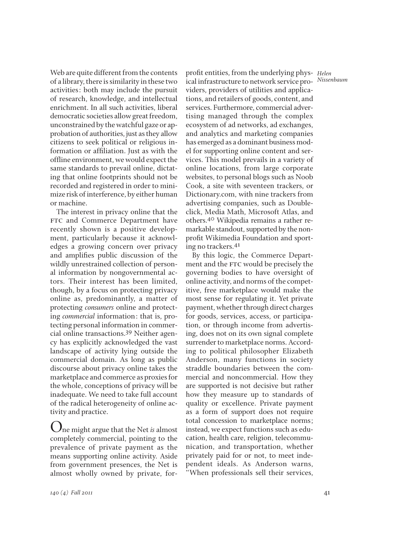Web are quite different from the contents of a library, there is similarity in these two activities: both may include the pursuit of research, knowledge, and intellectual enrichment. In all such activities, liberal democratic societies allow great freedom, unconstrained by the watchful gaze or approbation of authorities, just as they allow citizens to seek political or religious information or affiliation. Just as with the offline environment, we would expect the same standards to prevail online, dictating that online footprints should not be recorded and registered in order to minimize risk of interference, by either human or machine.

The interest in privacy online that the FTC and Commerce Department have recently shown is a positive development, particularly because it acknowledges a growing concern over privacy and amplifies public discussion of the wildly unrestrained collection of personal information by nongovernmental actors. Their interest has been limited, though, by a focus on protecting privacy online as, predominantly, a matter of protecting *consumers* online and protecting *commercial* information: that is, protecting personal information in commercial online transactions.39 Neither agency has explicitly acknowledged the vast landscape of activity lying outside the commercial domain. As long as public discourse about privacy online takes the marketplace and commerce as proxies for the whole, conceptions of privacy will be inadequate. We need to take full account of the radical heterogeneity of online activity and practice.

One might argue that the Net *is* almost completely commercial, pointing to the prevalence of private payment as the means supporting online activity. Aside from government presences, the Net is almost wholly owned by private, for-

profit entities, from the underlying phys- Helen ical infrastructure to network service pro- Nissenbaum viders, providers of utilities and applications, and retailers of goods, content, and services. Furthermore, commercial advertising managed through the complex ecosystem of ad networks, ad exchanges, and analytics and marketing companies has emerged as a dominant business model for supporting online content and services. This model prevails in a variety of online locations, from large corporate websites, to personal blogs such as Noob Cook, a site with seventeen trackers, or Dictionary.com, with nine trackers from advertising companies, such as Doubleclick, Media Math, Microsoft Atlas, and others.40 Wikipedia remains a rather remarkable standout, supported by the nonprofit Wikimedia Foundation and sporting no trackers.41

By this logic, the Commerce Department and the FTC would be precisely the governing bodies to have oversight of online activity, and norms of the competitive, free marketplace would make the most sense for regulating it. Yet private payment, whether through direct charges for goods, services, access, or participation, or through income from advertising, does not on its own signal complete surrender to marketplace norms. According to political philosopher Elizabeth Anderson, many functions in society straddle boundaries between the commercial and noncommercial. How they are supported is not decisive but rather how they measure up to standards of quality or excellence. Private payment as a form of support does not require total concession to marketplace norms; instead, we expect functions such as education, health care, religion, telecommunication, and transportation, whether privately paid for or not, to meet independent ideals. As Anderson warns, "When professionals sell their services,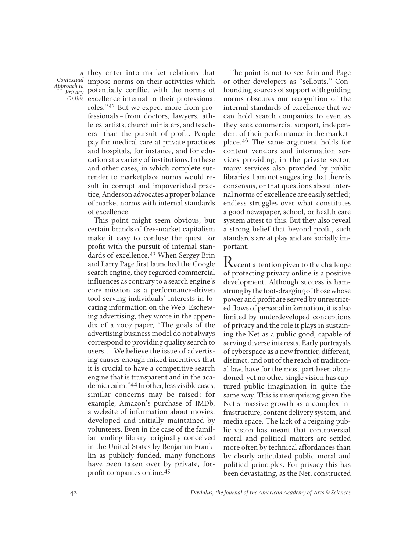*Contextual Approach to*

*A* they enter into market relations that *Privacy* potentially conflict with the norms of *Online* excellence internal to their professional impose norms on their activities which roles."42 But we expect more from professionals–from doctors, lawyers, athletes, artists, church ministers, and teachers–than the pursuit of profit. People pay for medical care at private practices and hospitals, for instance, and for education at a variety of institutions. In these and other cases, in which complete surrender to marketplace norms would result in corrupt and impoverished practice, Anderson advocates a proper balance of market norms with internal standards of excellence.

> This point might seem obvious, but certain brands of free-market capitalism make it easy to confuse the quest for profit with the pursuit of internal standards of excellence.<sup>43</sup> When Sergey Brin and Larry Page first launched the Google search engine, they regarded commercial influences as contrary to a search engine's core mission as a performance-driven tool serving individuals' interests in locating information on the Web. Eschewing advertising, they wrote in the appendix of a 2007 paper, "The goals of the advertising business model do not always correspond to providing quality search to users....We believe the issue of advertising causes enough mixed incentives that it is crucial to have a competitive search engine that is transparent and in the academic realm."44 In other, less visible cases, similar concerns may be raised: for example, Amazon's purchase of IMDb, a website of information about movies, developed and initially maintained by volunteers. Even in the case of the familiar lending library, originally conceived in the United States by Benjamin Franklin as publicly funded, many functions have been taken over by private, forprofit companies online.<sup>45</sup>

The point is not to see Brin and Page or other developers as "sellouts." Confounding sources of support with guiding norms obscures our recognition of the internal standards of excellence that we can hold search companies to even as they seek commercial support, independent of their performance in the marketplace.46 The same argument holds for content vendors and information services providing, in the private sector, many services also provided by public libraries. I am not suggesting that there is consensus, or that questions about internal norms of excellence are easily settled; endless struggles over what constitutes a good newspaper, school, or health care system attest to this. But they also reveal a strong belief that beyond profit, such standards are at play and are socially important.

**K**ecent attention given to the challenge of protecting privacy online is a positive development. Although success is hamstrung by the foot-dragging of those whose power and profit are served by unrestricted flows of personal information, it is also limited by underdeveloped conceptions of privacy and the role it plays in sustaining the Net as a public good, capable of serving diverse interests. Early portrayals of cyberspace as a new frontier, different, distinct, and out of the reach of traditional law, have for the most part been abandoned, yet no other single vision has captured public imagination in quite the same way. This is unsurprising given the Net's massive growth as a complex infrastructure, content delivery system, and media space. The lack of a reigning public vision has meant that controversial moral and political matters are settled more often by technical affordances than by clearly articulated public moral and political principles. For privacy this has been devastating, as the Net, constructed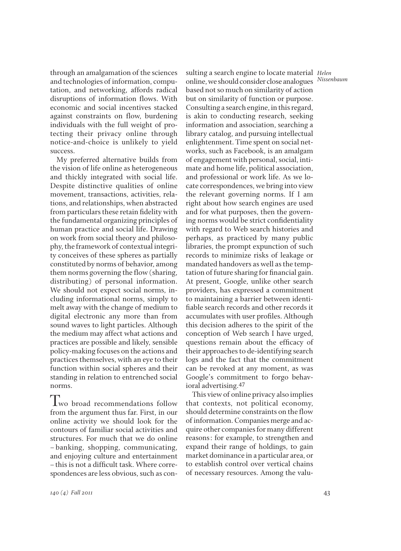through an amalgamation of the sciences and technologies of information, computation, and networking, affords radical disruptions of information flows. With economic and social incentives stacked against constraints on flow, burdening individuals with the full weight of protecting their privacy online through notice-and-choice is unlikely to yield success.

My preferred alternative builds from the vision of life online as heterogeneous and thickly integrated with social life. Despite distinctive qualities of online movement, transactions, activities, relations, and relationships, when abstracted from particulars these retain fidelity with the fundamental organizing principles of human practice and social life. Drawing on work from social theory and philosophy, the framework of contextual integrity conceives of these spheres as partially constituted by norms of behavior, among them norms governing the flow (sharing, distributing) of personal information. We should not expect social norms, including informational norms, simply to melt away with the change of medium to digital electronic any more than from sound waves to light particles. Although the medium may affect what actions and practices are possible and likely, sensible policy-making focuses on the actions and practices themselves, with an eye to their function within social spheres and their standing in relation to entrenched social norms.

**Lwo** broad recommendations follow from the argument thus far. First, in our online activity we should look for the contours of familiar social activities and structures. For much that we do online –banking, shopping, communicating, and enjoying culture and entertainment – this is not a difficult task. Where correspondences are less obvious, such as con-

sulting a search engine to locate material Helen *Nissenbaum* online, we should consider close analogues based not so much on similarity of action but on similarity of function or purpose. Consulting a search engine, in this regard, is akin to conducting research, seeking information and association, searching a library catalog, and pursuing intellectual enlightenment. Time spent on social networks, such as Facebook, is an amalgam of engagement with personal, social, intimate and home life, political association, and professional or work life. As we locate correspondences, we bring into view the relevant governing norms. If I am right about how search engines are used and for what purposes, then the governing norms would be strict confidentiality with regard to Web search histories and perhaps, as practiced by many public libraries, the prompt expunction of such records to minimize risks of leakage or mandated handovers as well as the temptation of future sharing for financial gain. At present, Google, unlike other search providers, has expressed a commitment to maintaining a barrier between identi fiable search records and other records it accumulates with user profiles. Although this decision adheres to the spirit of the conception of Web search I have urged, questions remain about the efficacy of their approaches to de-identifying search logs and the fact that the commitment can be revoked at any moment, as was Google's commitment to forgo behavioral advertising.47

This view of online privacy also implies that contexts, not political economy, should determine constraints on the flow of information. Companies merge and acquire other companies for many different reasons: for example, to strengthen and expand their range of holdings, to gain market dominance in a particular area, or to establish control over vertical chains of necessary resources. Among the valu-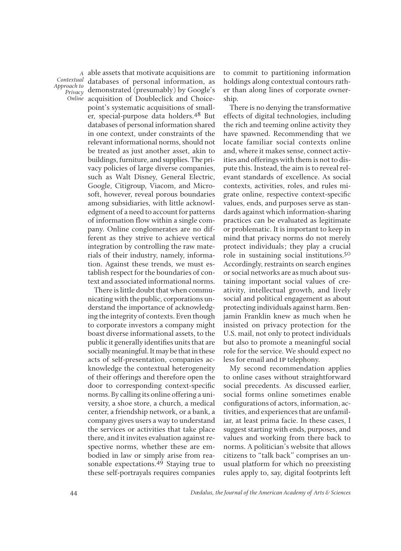*Contextual Approach to*

*A* able assets that motivate acquisitions are *Privacy* demonstrated (presumably) by Google's *Online* acquisition of Doubleclick and Choicedatabases of personal information, as point's systematic acquisitions of smaller, special-purpose data holders.48 But databases of personal information shared in one context, under constraints of the relevant informational norms, should not be treated as just another asset, akin to buildings, furniture, and supplies. The privacy policies of large diverse companies, such as Walt Disney, General Electric, Google, Citigroup, Viacom, and Microsoft, however, reveal porous boundaries among subsidiaries, with little acknowledgment of a need to account for patterns of information flow within a single company. Online conglomerates are no different as they strive to achieve vertical integration by controlling the raw materials of their industry, namely, information. Against these trends, we must establish respect for the boundaries of context and associated informational norms.

> There is little doubt that when communicating with the public, corporations understand the importance of acknowledging the integrity of contexts. Even though to corporate investors a company might boast diverse informational assets, to the public it generally identifies units that are socially meaningful. It may be that in these acts of self-presentation, companies acknowledge the contextual heterogeneity of their offerings and therefore open the door to corresponding context-specific norms. By calling its online offering a university, a shoe store, a church, a medical center, a friendship network, or a bank, a company gives users a way to understand the services or activities that take place there, and it invites evaluation against respective norms, whether these are embodied in law or simply arise from reasonable expectations.49 Staying true to these self-portrayals requires companies

to commit to partitioning information holdings along contextual contours rather than along lines of corporate ownership.

There is no denying the transformative effects of digital technologies, including the rich and teeming online activity they have spawned. Recommending that we locate familiar social contexts online and, where it makes sense, connect activities and offerings with them is not to dispute this. Instead, the aim is to reveal relevant standards of excellence. As social contexts, activities, roles, and rules migrate online, respective context-specific values, ends, and purposes serve as standards against which information-sharing practices can be evaluated as legitimate or problematic. It is important to keep in mind that privacy norms do not merely protect individuals; they play a crucial role in sustaining social institutions.50 Accordingly, restraints on search engines or social networks are as much about sustaining important social values of creativity, intellectual growth, and lively social and political engagement as about protecting individuals against harm. Benjamin Franklin knew as much when he insisted on privacy protection for the U.S. mail, not only to protect individuals but also to promote a meaningful social role for the service. We should expect no less for email and ip telephony.

My second recommendation applies to online cases without straightforward social precedents. As discussed earlier, social forms online sometimes enable configurations of actors, information, activities, and experiences that are unfamiliar, at least prima facie. In these cases, I suggest starting with ends, purposes, and values and working from there back to norms. A politician's website that allows citizens to "talk back" comprises an unusual platform for which no preexisting rules apply to, say, digital footprints left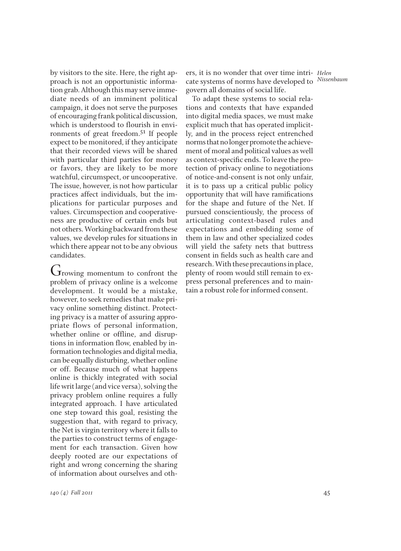by visitors to the site. Here, the right approach is not an opportunistic information grab. Although this may serve immediate needs of an imminent political campaign, it does not serve the purposes of encouraging frank political discussion, which is understood to flourish in environments of great freedom.51 If people expect to be monitored, if they anticipate that their recorded views will be shared with particular third parties for money or favors, they are likely to be more watchful, circumspect, or uncooperative. The issue, however, is not how particular practices affect individuals, but the implications for particular purposes and values. Circumspection and cooperativeness are productive of certain ends but not others. Working backward from these values, we develop rules for situations in which there appear not to be any obvious candidates.

Growing momentum to confront the problem of privacy online is a welcome development. It would be a mistake, however, to seek remedies that make privacy online something distinct. Protecting privacy is a matter of assuring appropriate flows of personal information, whether online or offline, and disruptions in information flow, enabled by information technologies and digital media, can be equally disturbing, whether online or off. Because much of what happens online is thickly integrated with social life writ large (and vice versa), solving the privacy problem online requires a fully integrated approach. I have articulated one step toward this goal, resisting the suggestion that, with regard to privacy, the Net is virgin territory where it falls to the parties to construct terms of engagement for each transaction. Given how deeply rooted are our expectations of right and wrong concerning the sharing of information about ourselves and oth-

ers, it is no wonder that over time intri- Helen *Nissenbaum* cate systems of norms have developed to govern all domains of social life.

To adapt these systems to social relations and contexts that have expanded into digital media spaces, we must make explicit much that has operated implicitly, and in the process reject entrenched norms that no longer promote the achievement of moral and political values as well as context-specific ends. To leave the protection of privacy online to negotiations of notice-and-consent is not only unfair, it is to pass up a critical public policy opportunity that will have ramifications for the shape and future of the Net. If pursued conscientiously, the process of articulating context-based rules and expectations and embedding some of them in law and other specialized codes will yield the safety nets that buttress consent in fields such as health care and research. With these precautions in place, plenty of room would still remain to express personal preferences and to maintain a robust role for informed consent.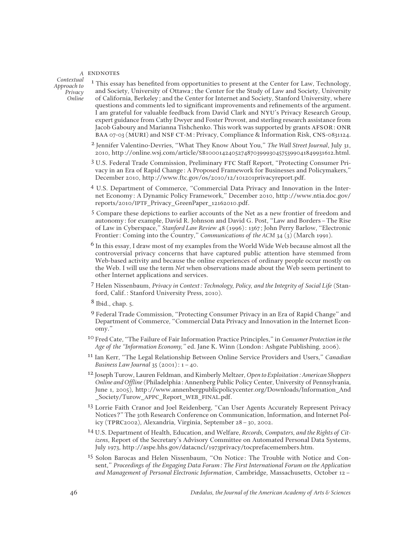## *A* endnotes

*Contextual Approach to Privacy Online*

- $<sup>1</sup>$  This essay has benefited from opportunities to present at the Center for Law, Technology,</sup> and Society, University of Ottawa; the Center for the Study of Law and Society, University of California, Berkeley; and the Center for Internet and Society, Stanford University, where questions and comments led to significant improvements and refinements of the argument. I am grateful for valuable feedback from David Clark and nyu's Privacy Research Group, expert guidance from Cathy Dwyer and Foster Provost, and sterling research assistance from Jacob Gaboury and Marianna Tishchenko. This work was supported by grants afsor: onr bacos Gaboary and Mariamia Tishenemio. This work was supported by grants AT SOR: ONR<br>BAA 07-03 (MURI) and NSF CT-M: Privacy, Compliance & Information Risk, CNS-0831124.
- 2 Jennifer Valentino-Devries, "What They Know About You," *The Wall Street Journal*, July 31, 2010, http://online.wsj.com/article/SB10001424052748703999304575399041849931612.html.
- <sup>3</sup> U.S. Federal Trade Commission, Preliminary FTC Staff Report, "Protecting Consumer Privacy in an Era of Rapid Change: A Proposed Framework for Businesses and Policymakers," December 2010, http://www.ftc.gov/os/2010/12/101201privacyreport.pdf.
- 4 U.S. Department of Commerce, "Commercial Data Privacy and Innovation in the Internet Economy: A Dynamic Policy Framework," December 2010, http://www.ntia.doc.gov/ reports/2010/IPTF\_Privacy\_GreenPaper\_12162010.pdf.
- 5 Compare these depictions to earlier accounts of the Net as a new frontier of freedom and autonomy: for example, David R. Johnson and David G. Post, "Law and Borders–The Rise of Law in Cyberspace," *Stanford Law Review* 48 (1996): 1367; John Perry Barlow, "Electronic Frontier: Coming into the Country," *Communications of the ACM* 34 (3) (March 1991).
- $^6$  In this essay, I draw most of my examples from the World Wide Web because almost all the controversial privacy concerns that have captured public attention have stemmed from Web-based activity and because the online experiences of ordinary people occur mostly on the Web. I will use the term *Net* when observations made about the Web seem pertinent to other Internet applications and services.
- 7 Helen Nissenbaum, *Privacy in Context: Technology, Policy, and the Integrity of Social Life* (Stanford, Calif.: Stanford University Press, 2010).
- 8 Ibid., chap. 5.
- 9 Federal Trade Commission, "Protecting Consumer Privacy in an Era of Rapid Change" and Department of Commerce, "Commercial Data Privacy and Innovation in the Internet Economy."
- 10 Fred Cate, "The Failure of Fair Information Practice Principles," in *Consumer Protection in the Age of the "Information Economy,"* ed. Jane K. Winn (London: Ashgate Publishing, 2006).
- 11 Ian Kerr, "The Legal Relationship Between Online Service Providers and Users," *Canadian Business Law Journal* 35 (2001): 1–40.
- 12 Joseph Turow, Lauren Feldman, and Kimberly Meltzer, *Open to Exploitation: American Shoppers Online and Offline* (Philadelphia: Annenberg Public Policy Center, University of Pennsylvania, June 1, 2005), http://www.annenbergpublicpolicycenter.org/Downloads/Information\_And \_Society/Turow\_APPC\_Report\_WEB\_FINAL.pdf.
- <sup>13</sup> Lorrie Faith Cranor and Joel Reidenberg, "Can User Agents Accurately Represent Privacy Notices?" The 30th Research Conference on Communication, Information, and Internet Pol $icy (TPRC2002)$ , Alexandria, Virginia, September  $28 - 30$ , 2002.
- 14 U.S. Department of Health, Education, and Welfare, *Records, Computers, and the Rights of Citizens*, Report of the Secretary's Advisory Committee on Automated Personal Data Systems, July 1973, http://aspe.hhs.gov/datacncl/1973privacy/tocprefacemembers.htm.
- 15 Solon Barocas and Helen Nissenbaum, "On Notice: The Trouble with Notice and Consent," *Proceedings of the Engaging Data Forum: The First International Forum on the Application and Management of Personal Electronic Information*, Cambridge, Massachusetts, October 12–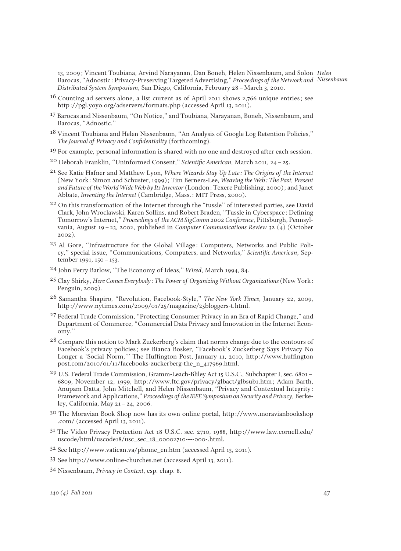13, 2009; Vincent Toubiana, Arvind Narayanan, Dan Boneh, Helen Nissenbaum, and Solon Helen *Nissenbaum* Barocas, "Adnostic: Privacy-Preserving Targeted Advertising," *Proceedings of the Network and Distributed System Symposium*, San Diego, California, February 28–March 3, 2010.

- 16 Counting ad servers alone, a list current as of April 2011 shows 2,766 unique entries; see http://pgl.yoyo.org/adservers/formats.php (accessed April 13, 2011).
- 17 Barocas and Nissenbaum, "On Notice," and Toubiana, Narayanan, Boneh, Nissenbaum, and Barocas, "Adnostic."
- <sup>18</sup> Vincent Toubiana and Helen Nissenbaum, "An Analysis of Google Log Retention Policies," *The Journal of Privacy and Con½dentiality* (forthcoming).
- 19 For example, personal information is shared with no one and destroyed after each session.
- <sup>20</sup> Deborah Franklin, "Uninformed Consent," *Scientific American*, March 2011, 24 25.
- 21 See Katie Hafner and Matthew Lyon, *Where Wizards Stay Up Late: The Origins of the Internet* (New York: Simon and Schuster, 1999); Tim Berners-Lee, *Weaving the Web: The Past, Present and Future of the World Wide Web by Its Inventor* (London: Texere Publishing, 2000); and Janet Abbate, *Inventing the Internet* (Cambridge, Mass.: MIT Press, 2000).
- <sup>22</sup> On this transformation of the Internet through the "tussle" of interested parties, see David Clark, John Wroclawski, Karen Sollins, and Robert Braden, "Tussle in Cyberspace: Defining Tomorrow's Internet," *Proceedings of the ACM SigComm 2002 Conference*, Pittsburgh, Pennsylvania, August 19–23, 2002, published in *Computer Communications Review* 32 (4) (October 2002).
- <sup>23</sup> Al Gore, "Infrastructure for the Global Village: Computers, Networks and Public Policy," special issue, "Communications, Computers, and Networks," *Scientific American*, September 1991, 150–153.
- 24 John Perry Barlow, "The Economy of Ideas," *Wired*, March 1994, 84.
- 25 Clay Shirky, *Here Comes Everybody: The Power of Organizing Without Organizations* (New York: Penguin, 2009).
- 26 Samantha Shapiro, "Revolution, Facebook-Style," *The New York Times*, January 22, 2009, http://www.nytimes.com/2009/01/25/magazine/25bloggers-t.html.
- 27 Federal Trade Commission, "Protecting Consumer Privacy in an Era of Rapid Change," and Department of Commerce, "Commercial Data Privacy and Innovation in the Internet Economy."
- 28 Compare this notion to Mark Zuckerberg's claim that norms change due to the contours of Facebook's privacy policies; see Bianca Bosker, "Facebook's Zuckerberg Says Privacy No Longer a 'Social Norm,'" The Huffington Post, January 11, 2010, http://www.huffington post.com/2010/01/11/facebooks-zuckerberg-the\_n\_417969.html.
- <sup>29</sup> U.S. Federal Trade Commission, Gramm-Leach-Bliley Act 15 U.S.C., Subchapter I, sec. 6801 -6809, November 12, 1999, http://www.ftc.gov/privacy/glbact/glbsub1.htm; Adam Barth, Anupam Datta, John Mitchell, and Helen Nissenbaum, "Privacy and Contextual Integrity: Framework and Applications," *Proceedings of the IEEE Symposium on Security and Privacy*, Berkeley, California, May 21–24, 2006.
- 30 The Moravian Book Shop now has its own online portal, http://www.moravianbookshop .com/ (accessed April 13, 2011).
- 31 The Video Privacy Protection Act 18 U.S.C. sec. 2710, 1988, http://www.law.cornell.edu/ uscode/html/uscode18/usc\_sec\_18\_00002710----000-.html.
- 32 See http://www.vatican.va/phome\_en.htm (accessed April 13, 2011).
- 33 See http://www.online-churches.net (accessed April 13, 2011).
- 34 Nissenbaum, *Privacy in Context*, esp. chap. 8.